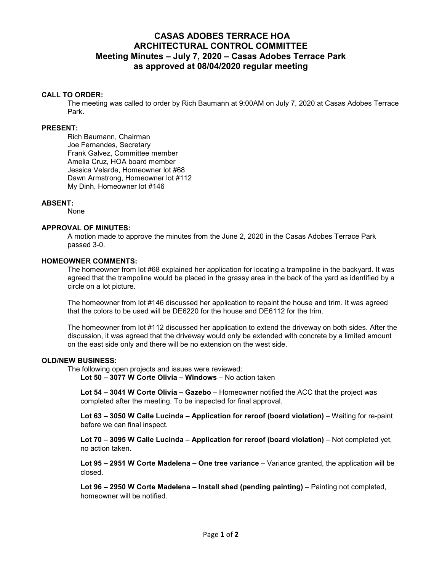# **CASAS ADOBES TERRACE HOA ARCHITECTURAL CONTROL COMMITTEE Meeting Minutes – July 7, 2020 – Casas Adobes Terrace Park as approved at 08/04/2020 regular meeting**

## **CALL TO ORDER:**

The meeting was called to order by Rich Baumann at 9:00AM on July 7, 2020 at Casas Adobes Terrace Park.

## **PRESENT:**

Rich Baumann, Chairman Joe Fernandes, Secretary Frank Galvez, Committee member Amelia Cruz, HOA board member Jessica Velarde, Homeowner lot #68 Dawn Armstrong, Homeowner lot #112 My Dinh, Homeowner lot #146

# **ABSENT:**

None

#### **APPROVAL OF MINUTES:**

A motion made to approve the minutes from the June 2, 2020 in the Casas Adobes Terrace Park passed 3-0.

#### **HOMEOWNER COMMENTS:**

The homeowner from lot #68 explained her application for locating a trampoline in the backyard. It was agreed that the trampoline would be placed in the grassy area in the back of the yard as identified by a circle on a lot picture.

The homeowner from lot #146 discussed her application to repaint the house and trim. It was agreed that the colors to be used will be DE6220 for the house and DE6112 for the trim.

The homeowner from lot #112 discussed her application to extend the driveway on both sides. After the discussion, it was agreed that the driveway would only be extended with concrete by a limited amount on the east side only and there will be no extension on the west side.

#### **OLD/NEW BUSINESS:**

The following open projects and issues were reviewed:

**Lot 50 – 3077 W Corte Olivia – Windows** – No action taken

**Lot 54 – 3041 W Corte Olivia – Gazebo** – Homeowner notified the ACC that the project was completed after the meeting. To be inspected for final approval.

**Lot 63 – 3050 W Calle Lucinda – Application for reroof (board violation)** – Waiting for re-paint before we can final inspect.

**Lot 70 – 3095 W Calle Lucinda – Application for reroof (board violation)** – Not completed yet, no action taken.

**Lot 95 – 2951 W Corte Madelena – One tree variance** – Variance granted, the application will be closed.

**Lot 96 – 2950 W Corte Madelena – Install shed (pending painting)** – Painting not completed, homeowner will be notified.